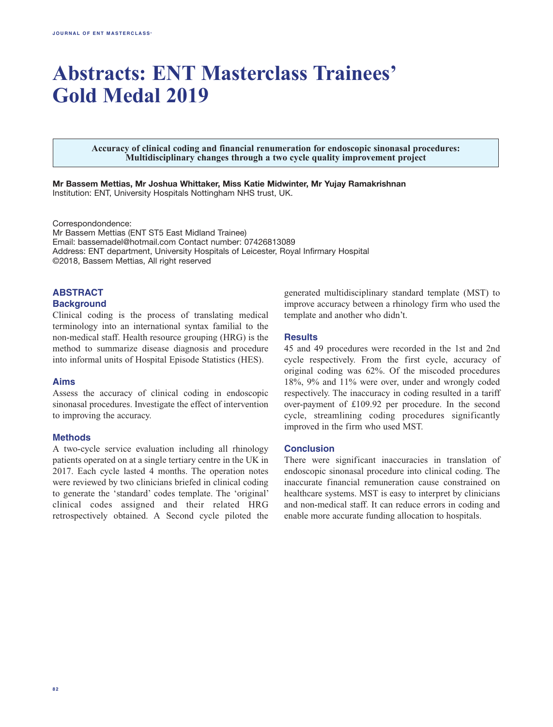# **Abstracts: ENT Masterclass Trainees' Gold Medal 2019**

**Accuracy of clinical coding and financial renumeration for endoscopic sinonasal procedures: Multidisciplinary changes through a two cycle quality improvement project**

**Mr Bassem Mettias, Mr Joshua Whittaker, Miss Katie Midwinter, Mr Yujay Ramakrishnan** Institution: ENT, University Hospitals Nottingham NHS trust, UK.

Correspondondence:

Mr Bassem Mettias (ENT ST5 East Midland Trainee) Email: bassemadel@hotmail.com Contact number: 07426813089 Address: ENT department, University Hospitals of Leicester, Royal Infirmary Hospital ©2018, Bassem Mettias, All right reserved

# **Abstract**

#### **Background**

Clinical coding is the process of translating medical terminology into an international syntax familial to the non-medical staff. Health resource grouping (HRG) is the method to summarize disease diagnosis and procedure into informal units of Hospital Episode Statistics (HES).

#### **Aims**

Assess the accuracy of clinical coding in endoscopic sinonasal procedures. Investigate the effect of intervention to improving the accuracy.

#### **Methods**

A two-cycle service evaluation including all rhinology patients operated on at a single tertiary centre in the UK in 2017. Each cycle lasted 4 months. The operation notes were reviewed by two clinicians briefed in clinical coding to generate the 'standard' codes template. The 'original' clinical codes assigned and their related HRG retrospectively obtained. A Second cycle piloted the

generated multidisciplinary standard template (MST) to improve accuracy between a rhinology firm who used the template and another who didn't.

# **Results**

45 and 49 procedures were recorded in the 1st and 2nd cycle respectively. From the first cycle, accuracy of original coding was 62%. Of the miscoded procedures 18%, 9% and 11% were over, under and wrongly coded respectively. The inaccuracy in coding resulted in a tariff over-payment of £109.92 per procedure. In the second cycle, streamlining coding procedures significantly improved in the firm who used MST.

#### **Conclusion**

There were significant inaccuracies in translation of endoscopic sinonasal procedure into clinical coding. The inaccurate financial remuneration cause constrained on healthcare systems. MST is easy to interpret by clinicians and non-medical staff. It can reduce errors in coding and enable more accurate funding allocation to hospitals.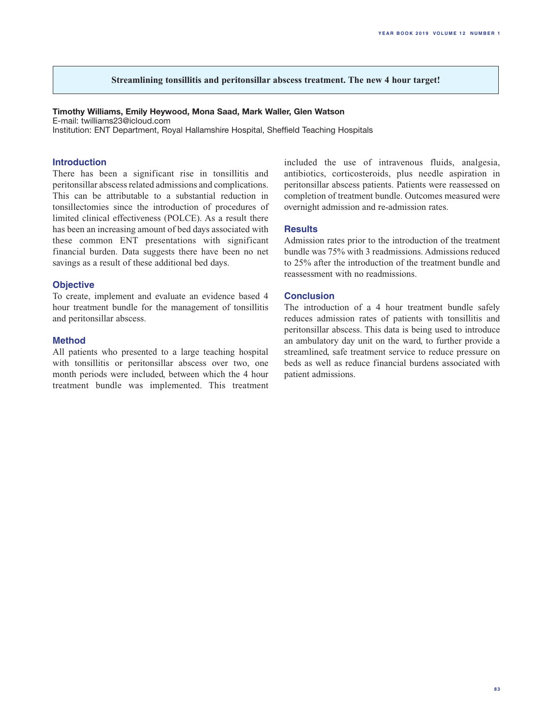# **Streamlining tonsillitis and peritonsillar abscess treatment. The new 4 hour target!**

# **Timothy Williams, Emily Heywood, Mona Saad, Mark Waller, Glen Watson**

E-mail: twilliams23@icloud.com Institution: ENT Department, Royal Hallamshire Hospital, Sheffield Teaching Hospitals

#### **Introduction**

There has been a significant rise in tonsillitis and peritonsillar abscess related admissions and complications. This can be attributable to a substantial reduction in tonsillectomies since the introduction of procedures of limited clinical effectiveness (POLCE). As a result there has been an increasing amount of bed days associated with these common ENT presentations with significant financial burden. Data suggests there have been no net savings as a result of these additional bed days.

#### **Objective**

To create, implement and evaluate an evidence based 4 hour treatment bundle for the management of tonsillitis and peritonsillar abscess.

#### **Method**

All patients who presented to a large teaching hospital with tonsillitis or peritonsillar abscess over two, one month periods were included, between which the 4 hour treatment bundle was implemented. This treatment

included the use of intravenous fluids, analgesia, antibiotics, corticosteroids, plus needle aspiration in peritonsillar abscess patients. Patients were reassessed on completion of treatment bundle. Outcomes measured were overnight admission and re-admission rates.

#### **Results**

Admission rates prior to the introduction of the treatment bundle was 75% with 3 readmissions. Admissions reduced to 25% after the introduction of the treatment bundle and reassessment with no readmissions.

### **Conclusion**

The introduction of a 4 hour treatment bundle safely reduces admission rates of patients with tonsillitis and peritonsillar abscess. This data is being used to introduce an ambulatory day unit on the ward, to further provide a streamlined, safe treatment service to reduce pressure on beds as well as reduce financial burdens associated with patient admissions.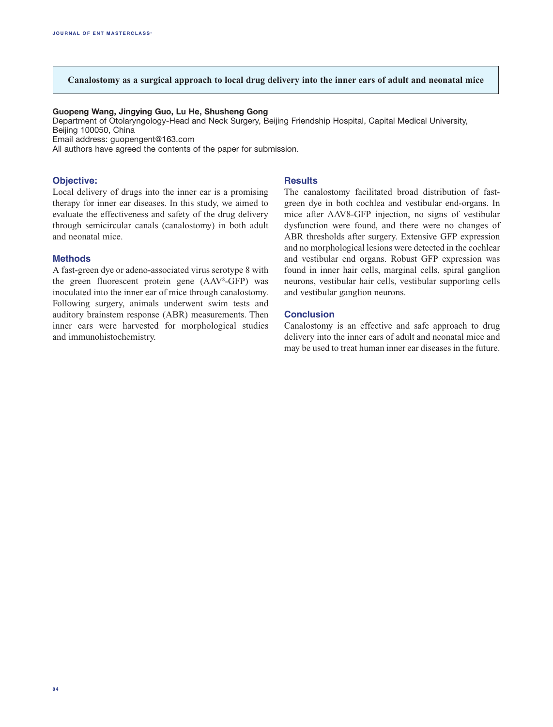# **Canalostomy as a surgical approach to local drug delivery into the inner ears of adult and neonatal mice**

#### **Guopeng Wang, Jingying Guo, Lu He, Shusheng Gong**

Department of Otolaryngology-Head and Neck Surgery, Beijing Friendship Hospital, Capital Medical University, Beijing 100050, China

Email address: guopengent@163.com

All authors have agreed the contents of the paper for submission.

#### **Objective:**

**Results**

Local delivery of drugs into the inner ear is a promising therapy for inner ear diseases. In this study, we aimed to evaluate the effectiveness and safety of the drug delivery through semicircular canals (canalostomy) in both adult and neonatal mice.

#### **Methods**

A fast-green dye or adeno-associated virus serotype 8 with the green fluorescent protein gene (AAV8 -GFP) was inoculated into the inner ear of mice through canalostomy. Following surgery, animals underwent swim tests and auditory brainstem response (ABR) measurements. Then inner ears were harvested for morphological studies and immunohistochemistry.

The canalostomy facilitated broad distribution of fastgreen dye in both cochlea and vestibular end-organs. In mice after AAV8-GFP injection, no signs of vestibular dysfunction were found, and there were no changes of ABR thresholds after surgery. Extensive GFP expression and no morphological lesions were detected in the cochlear and vestibular end organs. Robust GFP expression was found in inner hair cells, marginal cells, spiral ganglion neurons, vestibular hair cells, vestibular supporting cells and vestibular ganglion neurons.

#### **Conclusion**

Canalostomy is an effective and safe approach to drug delivery into the inner ears of adult and neonatal mice and may be used to treat human inner ear diseases in the future.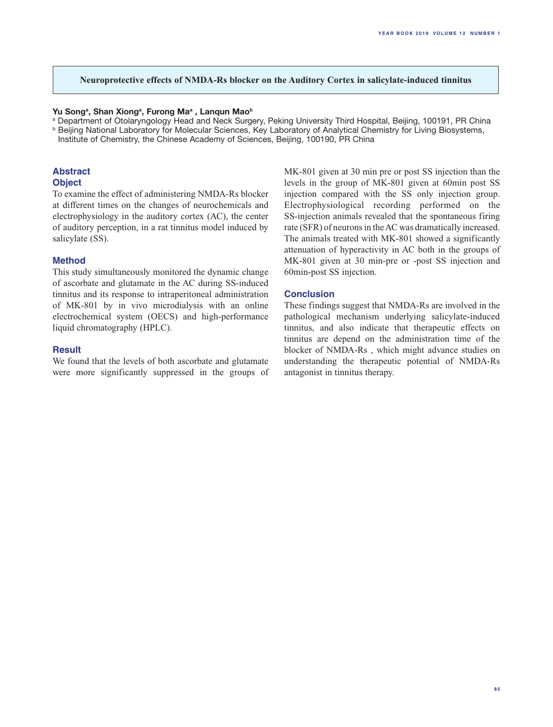# **Neuroprotective effects of NMDA-Rs blocker on the Auditory Cortex in salicylate-induced tinnitus**

#### Yu Song<sup>a</sup>, Shan Xiong<sup>a</sup>, Furong Ma<sup>a</sup>, Lanqun Mao<sup>b</sup>

a Department of Otolaryngology Head and Neck Surgery, Peking University Third Hospital, Beijing, 100191, PR China **b Beijing National Laboratory for Molecular Sciences, Key Laboratory of Analytical Chemistry for Living Biosystems,** Institute of Chemistry, the Chinese Academy of Sciences, Beijing, 100190, PR China

# **Abstract**

**Object**

To examine the effect of administering NMDA-Rs blocker at different times on the changes of neurochemicals and electrophysiology in the auditory cortex (AC), the center of auditory perception, in a rat tinnitus model induced by salicylate (SS).

# **Method**

This study simultaneously monitored the dynamic change of ascorbate and glutamate in the AC during SS-induced tinnitus and its response to intraperitoneal administration of MK-801 by in vivo microdialysis with an online electrochemical system (OECS) and high-performance liquid chromatography (HPLC).

#### **Result**

We found that the levels of both ascorbate and glutamate were more significantly suppressed in the groups of MK-801 given at 30 min pre or post SS injection than the levels in the group of MK-801 given at 60min post SS injection compared with the SS only injection group. Electrophysiological recording performed on the SS-injection animals revealed that the spontaneous firing rate (SFR) of neurons in the AC was dramatically increased. The animals treated with MK-801 showed a significantly attenuation of hyperactivity in AC both in the groups of MK-801 given at 30 min-pre or -post SS injection and 60min-post SS injection.

# **Conclusion**

These findings suggest that NMDA-Rs are involved in the pathological mechanism underlying salicylate-induced tinnitus, and also indicate that therapeutic effects on tinnitus are depend on the administration time of the blocker of NMDA-Rs , which might advance studies on understanding the therapeutic potential of NMDA-Rs antagonist in tinnitus therapy.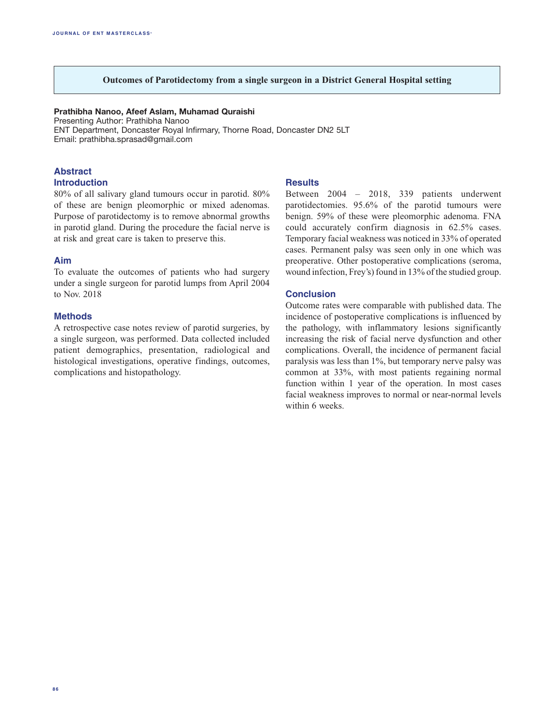# **Outcomes of Parotidectomy from a single surgeon in a District General Hospital setting**

# **Prathibha Nanoo, Afeef Aslam, Muhamad Quraishi**

Presenting Author: Prathibha Nanoo ENT Department, Doncaster Royal Infirmary, Thorne Road, Doncaster DN2 5LT Email: prathibha.sprasad@gmail.com

# **Abstract**

# **Introduction**

80% of all salivary gland tumours occur in parotid. 80% of these are benign pleomorphic or mixed adenomas. Purpose of parotidectomy is to remove abnormal growths in parotid gland. During the procedure the facial nerve is at risk and great care is taken to preserve this.

# **Aim**

To evaluate the outcomes of patients who had surgery under a single surgeon for parotid lumps from April 2004 to Nov. 2018

# **Methods**

A retrospective case notes review of parotid surgeries, by a single surgeon, was performed. Data collected included patient demographics, presentation, radiological and histological investigations, operative findings, outcomes, complications and histopathology.

#### **Results**

Between 2004 – 2018, 339 patients underwent parotidectomies. 95.6% of the parotid tumours were benign. 59% of these were pleomorphic adenoma. FNA could accurately confirm diagnosis in 62.5% cases. Temporary facial weakness was noticed in 33% of operated cases. Permanent palsy was seen only in one which was preoperative. Other postoperative complications (seroma, wound infection, Frey's) found in 13% of the studied group.

#### **Conclusion**

Outcome rates were comparable with published data. The incidence of postoperative complications is influenced by the pathology, with inflammatory lesions significantly increasing the risk of facial nerve dysfunction and other complications. Overall, the incidence of permanent facial paralysis was less than 1%, but temporary nerve palsy was common at 33%, with most patients regaining normal function within 1 year of the operation. In most cases facial weakness improves to normal or near-normal levels within 6 weeks.